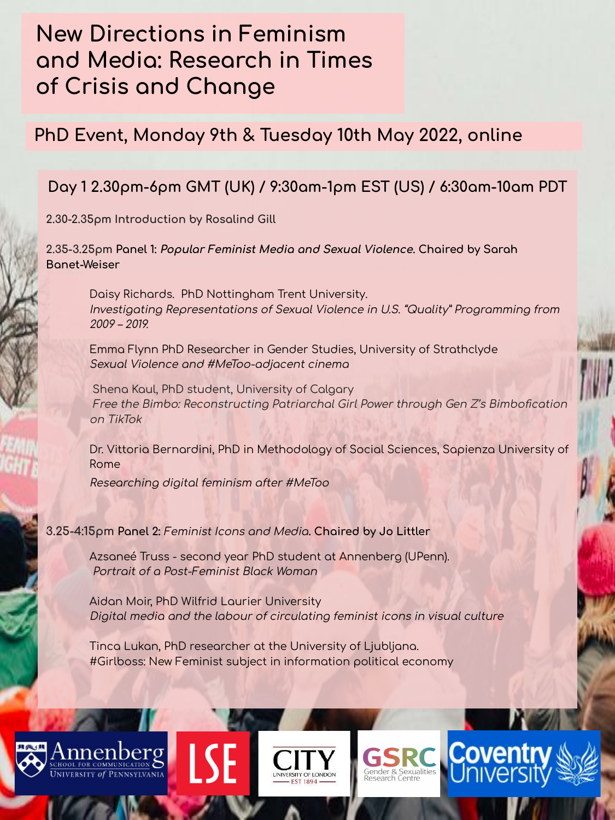# **New Directions in Feminism** and Media: Research in Times of Crisis and Change

## PhD Event, Monday 9th & Tuesday 10th May 2022, online

## Day 1 2.30pm-6pm GMT (UK) / 9:30am-1pm EST (US) / 6:30am-10am PDT

2.30-2.35pm Introduction by Rosalind Gill

2.35-3.25pm Panel 1: *Popular Feminist Media and Sexual Violence*. Chaired by Sarah Banet-Weiser

Daisy Richards. PhD Nottingham Trent University. Investigating Representations of Sexual Violence in U.S. "Quality" Programming from  $2009 - 2019$ 

Emma Flynn PhD Researcher in Gender Studies, University of Strathclyde Sexual Violence and #MeToo-adjacent cinema

Shena Kaul, PhD student, University of Calgary Free the Bimbo: Reconstructing Patriarchal Girl Power through Gen Z's Bimbofication on TikTok

Dr. Vittoria Bernardini, PhD in Methodology of Social Sciences, Sapienza University of Rome

Researching digital feminism after #MeToo

3.25-4:15pm Panel 2: Feminist Icons and Media. Chaired by Jo Littler

Azsaneé Truss - second year PhD student at Annenberg (UPenn). Portrait of a Post-Feminist Black Woman

Aidan Moir, PhD Wilfrid Laurier University Digital media and the labour of circulating feminist icons in visual culture

Tinca Lukan, PhD researcher at the University of Ljubljana. #Girlboss: New Feminist subject in information political economy







Sender & Sexualities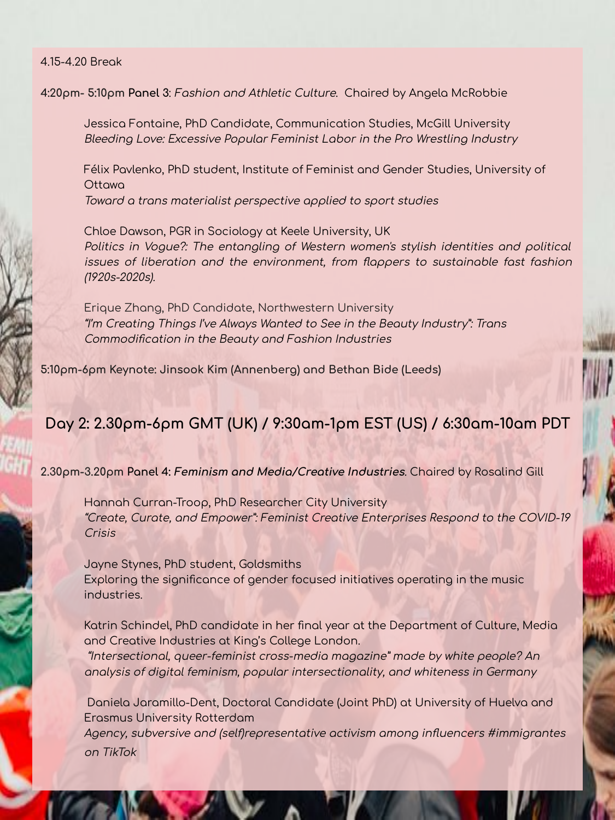#### 4.15-4.20 Break

4:20pm- 5:10pm Panel 3: Fashion and Athletic Culture. Chaired by Angela McRobbie

Jessica Fontaine, PhD Candidate, Communication Studies, McGill University Bleeding Love: Excessive Popular Feminist Labor in the Pro Wrestling Industry

Félix Pavlenko, PhD student, Institute of Feminist and Gender Studies, University of Ottawa Toward a trans materialist perspective applied to sport studies

Chloe Dawson, PGR in Sociology at Keele University, UK Politics in Vogue?: The entangling of Western women's stylish identities and political issues of liberation and the environment, from flappers to sustainable fast fashion (1920s-2020s).

Erique Zhang, PhD Candidate, Northwestern University "I'm Creatina Thinas I've Always Wanted to See in the Beauty Industry": Trans Commodification in the Beauty and Fashion Industries

5:10pm-6pm Keynote: Jinsook Kim (Annenberg) and Bethan Bide (Leeds)

### Day 2: 2.30pm-6pm GMT (UK) / 9:30am-1pm EST (US) / 6:30am-10am PDT

2.30pm-3.20pm Panel 4: Feminism and Media/Creative Industries. Choired by Rosalind Gill

Hannah Curran-Troop, PhD Researcher City University "Create, Curate, and Empower": Feminist Creative Enterprises Respond to the COVID-19 Crisis

Jayne Stynes, PhD student, Goldsmiths Exploring the significance of gender focused initiatives operating in the music industries.

Katrin Schindel, PhD candidate in her final year at the Department of Culture, Media and Creative Industries at King's College London.

"Intersectional, queer-feminist cross-media magazine" made by white people? An analysis of digital feminism, popular intersectionality, and whiteness in Germany

Daniela Jaramillo-Dent, Doctoral Candidate (Joint PhD) at University of Huelva and **Erasmus University Rotterdam** 

Agency, subversive and (self)representative activism among influencers #immigrantes on TikTok